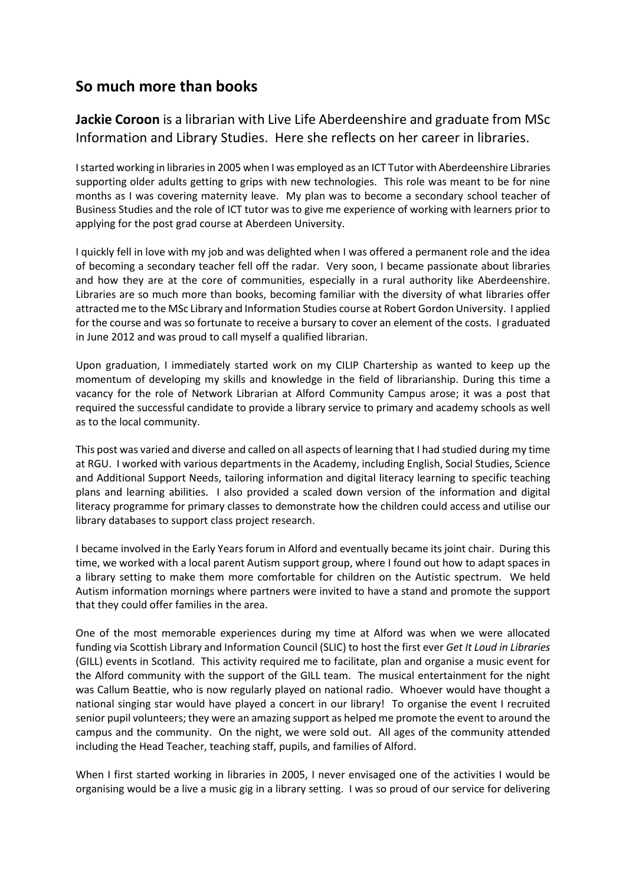## **So much more than books**

**Jackie Coroon** is a librarian with Live Life Aberdeenshire and graduate from MSc Information and Library Studies. Here she reflects on her career in libraries.

I started working in libraries in 2005 when I was employed as an ICT Tutor with Aberdeenshire Libraries supporting older adults getting to grips with new technologies. This role was meant to be for nine months as I was covering maternity leave. My plan was to become a secondary school teacher of Business Studies and the role of ICT tutor was to give me experience of working with learners prior to applying for the post grad course at Aberdeen University.

I quickly fell in love with my job and was delighted when I was offered a permanent role and the idea of becoming a secondary teacher fell off the radar. Very soon, I became passionate about libraries and how they are at the core of communities, especially in a rural authority like Aberdeenshire. Libraries are so much more than books, becoming familiar with the diversity of what libraries offer attracted me to the MSc Library and Information Studies course at Robert Gordon University. I applied for the course and was so fortunate to receive a bursary to cover an element of the costs. I graduated in June 2012 and was proud to call myself a qualified librarian.

Upon graduation, I immediately started work on my CILIP Chartership as wanted to keep up the momentum of developing my skills and knowledge in the field of librarianship. During this time a vacancy for the role of Network Librarian at Alford Community Campus arose; it was a post that required the successful candidate to provide a library service to primary and academy schools as well as to the local community.

This post was varied and diverse and called on all aspects of learning that I had studied during my time at RGU. I worked with various departments in the Academy, including English, Social Studies, Science and Additional Support Needs, tailoring information and digital literacy learning to specific teaching plans and learning abilities. I also provided a scaled down version of the information and digital literacy programme for primary classes to demonstrate how the children could access and utilise our library databases to support class project research.

I became involved in the Early Years forum in Alford and eventually became its joint chair. During this time, we worked with a local parent Autism support group, where I found out how to adapt spaces in a library setting to make them more comfortable for children on the Autistic spectrum. We held Autism information mornings where partners were invited to have a stand and promote the support that they could offer families in the area.

One of the most memorable experiences during my time at Alford was when we were allocated funding via Scottish Library and Information Council (SLIC) to host the first ever *Get It Loud in Libraries* (GILL) events in Scotland. This activity required me to facilitate, plan and organise a music event for the Alford community with the support of the GILL team. The musical entertainment for the night was Callum Beattie, who is now regularly played on national radio. Whoever would have thought a national singing star would have played a concert in our library! To organise the event I recruited senior pupil volunteers; they were an amazing support as helped me promote the event to around the campus and the community. On the night, we were sold out. All ages of the community attended including the Head Teacher, teaching staff, pupils, and families of Alford.

When I first started working in libraries in 2005, I never envisaged one of the activities I would be organising would be a live a music gig in a library setting. I was so proud of our service for delivering